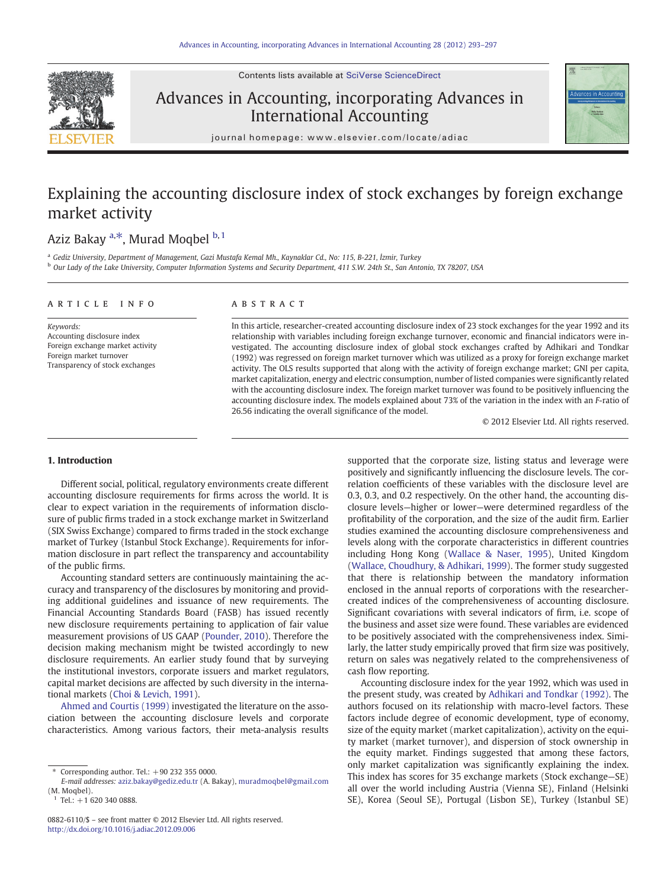Contents lists available at [SciVerse ScienceDirect](http://www.sciencedirect.com/science/journal/08826110)

## Advances in Accounting, incorporating Advances in International Accounting



journal homepage: www.elsevier.com/locate/adiac

## Explaining the accounting disclosure index of stock exchanges by foreign exchange market activity

## Aziz Bakay <sup>a,\*</sup>, Murad Moqbel <sup>b, 1</sup>

<sup>a</sup> Gediz University, Department of Management, Gazi Mustafa Kemal Mh., Kaynaklar Cd., No: 115, B-221, İzmir, Turkey <sup>b</sup> Our Lady of the Lake University, Computer Information Systems and Security Department, 411 S.W. 24th St., San Antonio, TX 78207, USA

### article info abstract

Keywords: Accounting disclosure index Foreign exchange market activity Foreign market turnover Transparency of stock exchanges

In this article, researcher-created accounting disclosure index of 23 stock exchanges for the year 1992 and its relationship with variables including foreign exchange turnover, economic and financial indicators were investigated. The accounting disclosure index of global stock exchanges crafted by Adhikari and Tondkar (1992) was regressed on foreign market turnover which was utilized as a proxy for foreign exchange market activity. The OLS results supported that along with the activity of foreign exchange market; GNI per capita, market capitalization, energy and electric consumption, number of listed companies were significantly related with the accounting disclosure index. The foreign market turnover was found to be positively influencing the accounting disclosure index. The models explained about 73% of the variation in the index with an F-ratio of 26.56 indicating the overall significance of the model.

© 2012 Elsevier Ltd. All rights reserved.

### 1. Introduction

Different social, political, regulatory environments create different accounting disclosure requirements for firms across the world. It is clear to expect variation in the requirements of information disclosure of public firms traded in a stock exchange market in Switzerland (SIX Swiss Exchange) compared to firms traded in the stock exchange market of Turkey (Istanbul Stock Exchange). Requirements for information disclosure in part reflect the transparency and accountability of the public firms.

Accounting standard setters are continuously maintaining the accuracy and transparency of the disclosures by monitoring and providing additional guidelines and issuance of new requirements. The Financial Accounting Standards Board (FASB) has issued recently new disclosure requirements pertaining to application of fair value measurement provisions of US GAAP [\(Pounder, 2010](#page--1-0)). Therefore the decision making mechanism might be twisted accordingly to new disclosure requirements. An earlier study found that by surveying the institutional investors, corporate issuers and market regulators, capital market decisions are affected by such diversity in the international markets [\(Choi & Levich, 1991](#page--1-0)).

[Ahmed and Courtis \(1999\)](#page--1-0) investigated the literature on the association between the accounting disclosure levels and corporate characteristics. Among various factors, their meta-analysis results supported that the corporate size, listing status and leverage were positively and significantly influencing the disclosure levels. The correlation coefficients of these variables with the disclosure level are 0.3, 0.3, and 0.2 respectively. On the other hand, the accounting disclosure levels—higher or lower—were determined regardless of the profitability of the corporation, and the size of the audit firm. Earlier studies examined the accounting disclosure comprehensiveness and levels along with the corporate characteristics in different countries including Hong Kong [\(Wallace & Naser, 1995](#page--1-0)), United Kingdom [\(Wallace, Choudhury, & Adhikari, 1999\)](#page--1-0). The former study suggested that there is relationship between the mandatory information enclosed in the annual reports of corporations with the researchercreated indices of the comprehensiveness of accounting disclosure. Significant covariations with several indicators of firm, i.e. scope of the business and asset size were found. These variables are evidenced to be positively associated with the comprehensiveness index. Similarly, the latter study empirically proved that firm size was positively, return on sales was negatively related to the comprehensiveness of cash flow reporting.

Accounting disclosure index for the year 1992, which was used in the present study, was created by [Adhikari and Tondkar \(1992\).](#page--1-0) The authors focused on its relationship with macro-level factors. These factors include degree of economic development, type of economy, size of the equity market (market capitalization), activity on the equity market (market turnover), and dispersion of stock ownership in the equity market. Findings suggested that among these factors, only market capitalization was significantly explaining the index. This index has scores for 35 exchange markets (Stock exchange—SE) all over the world including Austria (Vienna SE), Finland (Helsinki SE), Korea (Seoul SE), Portugal (Lisbon SE), Turkey (Istanbul SE)

Corresponding author. Tel.:  $+90$  232 355 0000.

E-mail addresses: [aziz.bakay@gediz.edu.tr](mailto:aziz.bakay@gediz.edu.tr) (A. Bakay), [muradmoqbel@gmail.com](mailto:muradmoqbel@gmail.com) (M. Moqbel).

Tel.:  $+1$  620 340 0888.

<sup>0882-6110/\$</sup> – see front matter © 2012 Elsevier Ltd. All rights reserved. <http://dx.doi.org/10.1016/j.adiac.2012.09.006>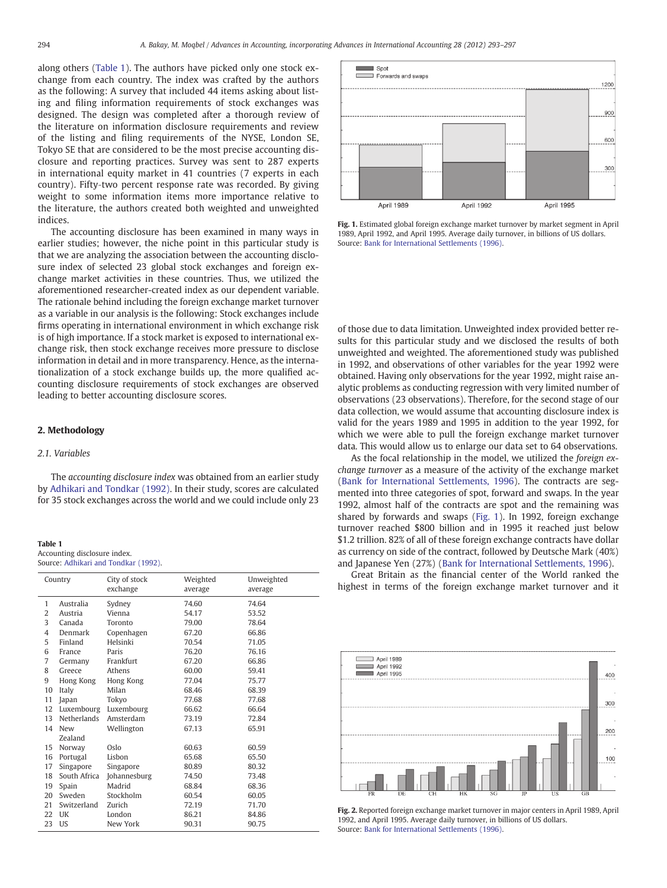along others (Table 1). The authors have picked only one stock exchange from each country. The index was crafted by the authors as the following: A survey that included 44 items asking about listing and filing information requirements of stock exchanges was designed. The design was completed after a thorough review of the literature on information disclosure requirements and review of the listing and filing requirements of the NYSE, London SE, Tokyo SE that are considered to be the most precise accounting disclosure and reporting practices. Survey was sent to 287 experts in international equity market in 41 countries (7 experts in each country). Fifty‐two percent response rate was recorded. By giving weight to some information items more importance relative to the literature, the authors created both weighted and unweighted indices.

The accounting disclosure has been examined in many ways in earlier studies; however, the niche point in this particular study is that we are analyzing the association between the accounting disclosure index of selected 23 global stock exchanges and foreign exchange market activities in these countries. Thus, we utilized the aforementioned researcher-created index as our dependent variable. The rationale behind including the foreign exchange market turnover as a variable in our analysis is the following: Stock exchanges include firms operating in international environment in which exchange risk is of high importance. If a stock market is exposed to international exchange risk, then stock exchange receives more pressure to disclose information in detail and in more transparency. Hence, as the internationalization of a stock exchange builds up, the more qualified accounting disclosure requirements of stock exchanges are observed leading to better accounting disclosure scores.

### 2. Methodology

### 2.1. Variables

The accounting disclosure index was obtained from an earlier study by [Adhikari and Tondkar \(1992\).](#page--1-0) In their study, scores are calculated for 35 stock exchanges across the world and we could include only 23

| <b>Table 1</b>                       |  |  |  |  |
|--------------------------------------|--|--|--|--|
| Accounting disclosure index.         |  |  |  |  |
| Source: Adhikari and Tondkar (1992). |  |  |  |  |

| Country        |              | City of stock | Weighted | Unweighted |
|----------------|--------------|---------------|----------|------------|
|                |              | exchange      | average  | average    |
| $\mathbf{1}$   | Australia    | Sydney        | 74.60    | 74.64      |
| 2              | Austria      | Vienna        | 54.17    | 53.52      |
| 3              | Canada       | Toronto       | 79.00    | 78.64      |
| $\overline{4}$ | Denmark      | Copenhagen    | 67.20    | 66.86      |
| 5              | Finland      | Helsinki      | 70.54    | 71.05      |
| 6              | France       | Paris         | 76.20    | 76.16      |
| $\overline{7}$ | Germany      | Frankfurt     | 67.20    | 66.86      |
| 8              | Greece       | Athens        | 60.00    | 59.41      |
| 9              | Hong Kong    | Hong Kong     | 77.04    | 75.77      |
| 10             | Italy        | Milan         | 68.46    | 68.39      |
| 11             | Japan        | Tokyo         | 77.68    | 77.68      |
| 12             | Luxembourg   | Luxembourg    | 66.62    | 66.64      |
| 13             | Netherlands  | Amsterdam     | 73.19    | 72.84      |
| 14             | New          | Wellington    | 67.13    | 65.91      |
|                | Zealand      |               |          |            |
| 15             | Norway       | Oslo          | 60.63    | 60.59      |
| 16             | Portugal     | Lisbon        | 65.68    | 65.50      |
| 17             | Singapore    | Singapore     | 80.89    | 80.32      |
| 18             | South Africa | Johannesburg  | 74.50    | 73.48      |
| 19             | Spain        | Madrid        | 68.84    | 68.36      |
| 20             | Sweden       | Stockholm     | 60.54    | 60.05      |
| 21             | Switzerland  | Zurich        | 72.19    | 71.70      |
| 22             | UK           | London        | 86.21    | 84.86      |
| 23             | <b>US</b>    | New York      | 90.31    | 90.75      |



Fig. 1. Estimated global foreign exchange market turnover by market segment in April 1989, April 1992, and April 1995. Average daily turnover, in billions of US dollars. Source: [Bank for International Settlements \(1996\)](#page--1-0).

of those due to data limitation. Unweighted index provided better results for this particular study and we disclosed the results of both unweighted and weighted. The aforementioned study was published in 1992, and observations of other variables for the year 1992 were obtained. Having only observations for the year 1992, might raise analytic problems as conducting regression with very limited number of observations (23 observations). Therefore, for the second stage of our data collection, we would assume that accounting disclosure index is valid for the years 1989 and 1995 in addition to the year 1992, for which we were able to pull the foreign exchange market turnover data. This would allow us to enlarge our data set to 64 observations.

As the focal relationship in the model, we utilized the foreign exchange turnover as a measure of the activity of the exchange market [\(Bank for International Settlements, 1996](#page--1-0)). The contracts are segmented into three categories of spot, forward and swaps. In the year 1992, almost half of the contracts are spot and the remaining was shared by forwards and swaps (Fig. 1). In 1992, foreign exchange turnover reached \$800 billion and in 1995 it reached just below \$1.2 trillion. 82% of all of these foreign exchange contracts have dollar as currency on side of the contract, followed by Deutsche Mark (40%) and Japanese Yen (27%) [\(Bank for International Settlements, 1996](#page--1-0)).

Great Britain as the financial center of the World ranked the highest in terms of the foreign exchange market turnover and it



Fig. 2. Reported foreign exchange market turnover in major centers in April 1989, April 1992, and April 1995. Average daily turnover, in billions of US dollars. Source: [Bank for International Settlements \(1996\)](#page--1-0).